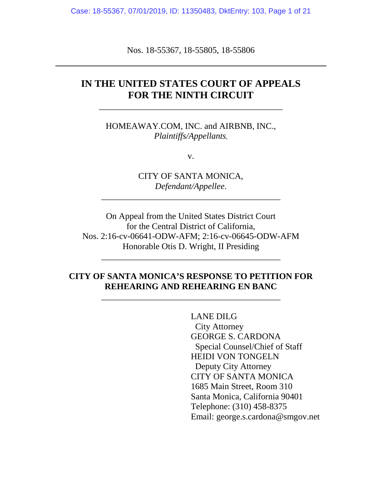Case: 18-55367, 07/01/2019, ID: 11350483, DktEntry: 103, Page 1 of 21

Nos. 18-55367, 18-55805, 18-55806

## **IN THE UNITED STATES COURT OF APPEALS FOR THE NINTH CIRCUIT**

\_\_\_\_\_\_\_\_\_\_\_\_\_\_\_\_\_\_\_\_\_\_\_\_\_\_\_\_\_\_\_\_\_\_\_\_\_\_\_\_\_\_

HOMEAWAY.COM, INC. and AIRBNB, INC., *Plaintiffs/Appellants,*

v.

CITY OF SANTA MONICA, *Defendant/Appellee*.

\_\_\_\_\_\_\_\_\_\_\_\_\_\_\_\_\_\_\_\_\_\_\_\_\_\_\_\_\_\_\_\_\_\_\_\_\_\_\_\_\_

On Appeal from the United States District Court for the Central District of California, Nos. 2:16-cv-06641-ODW-AFM; 2:16-cv-06645-ODW-AFM Honorable Otis D. Wright, II Presiding

## **CITY OF SANTA MONICA'S RESPONSE TO PETITION FOR REHEARING AND REHEARING EN BANC**

\_\_\_\_\_\_\_\_\_\_\_\_\_\_\_\_\_\_\_\_\_\_\_\_\_\_\_\_\_\_\_\_\_\_\_\_\_\_\_\_\_

\_\_\_\_\_\_\_\_\_\_\_\_\_\_\_\_\_\_\_\_\_\_\_\_\_\_\_\_\_\_\_\_\_\_\_\_\_\_\_\_\_

LANE DILG City Attorney GEORGE S. CARDONA Special Counsel/Chief of Staff HEIDI VON TONGELN Deputy City Attorney CITY OF SANTA MONICA 1685 Main Street, Room 310 Santa Monica, California 90401 Telephone: (310) 458-8375 Email: george.s.cardona@smgov.net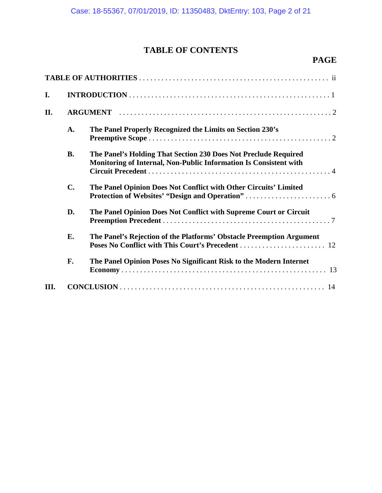# **TABLE OF CONTENTS**

# **PAGE**

| I.   |           |                                                                                                                                      |  |  |  |
|------|-----------|--------------------------------------------------------------------------------------------------------------------------------------|--|--|--|
| II.  |           |                                                                                                                                      |  |  |  |
|      | A.        | The Panel Properly Recognized the Limits on Section 230's                                                                            |  |  |  |
|      | <b>B.</b> | The Panel's Holding That Section 230 Does Not Preclude Required<br>Monitoring of Internal, Non-Public Information Is Consistent with |  |  |  |
|      | C.        | The Panel Opinion Does Not Conflict with Other Circuits' Limited                                                                     |  |  |  |
|      | D.        | The Panel Opinion Does Not Conflict with Supreme Court or Circuit                                                                    |  |  |  |
|      | E.        | The Panel's Rejection of the Platforms' Obstacle Preemption Argument                                                                 |  |  |  |
|      | F.        | The Panel Opinion Poses No Significant Risk to the Modern Internet                                                                   |  |  |  |
| III. |           |                                                                                                                                      |  |  |  |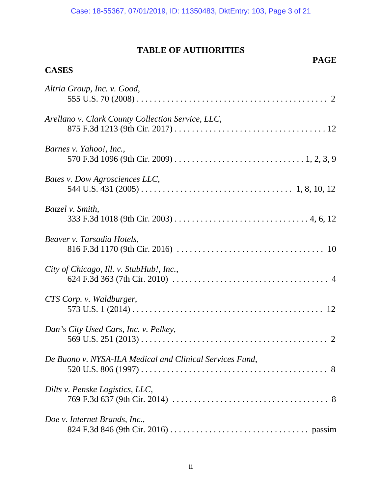## **TABLE OF AUTHORITIES**

## **PAGE**

## **CASES**

| Altria Group, Inc. v. Good,                              |
|----------------------------------------------------------|
| Arellano v. Clark County Collection Service, LLC,        |
| Barnes v. Yahoo!, Inc.,                                  |
| Bates v. Dow Agrosciences LLC,                           |
| Batzel v. Smith,                                         |
| Beaver v. Tarsadia Hotels,                               |
| City of Chicago, Ill. v. StubHub!, Inc.,                 |
| CTS Corp. v. Waldburger,                                 |
| Dan's City Used Cars, Inc. v. Pelkey,                    |
| De Buono v. NYSA-ILA Medical and Clinical Services Fund, |
| Dilts v. Penske Logistics, LLC,                          |
| Doe v. Internet Brands, Inc.,                            |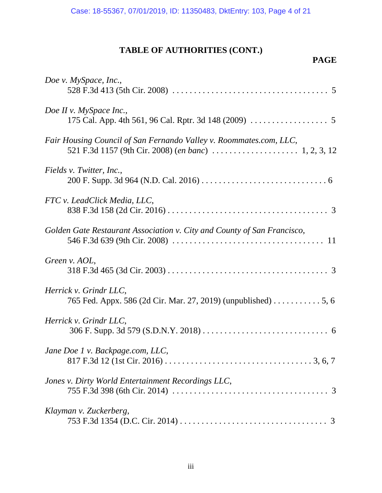# **TABLE OF AUTHORITIES (CONT.)**

# **PAGE**

| Doe v. MySpace, Inc.,                                                   |
|-------------------------------------------------------------------------|
| Doe II v. MySpace Inc.,                                                 |
| Fair Housing Council of San Fernando Valley v. Roommates.com, LLC,      |
| Fields v. Twitter, Inc.,                                                |
| FTC v. LeadClick Media, LLC,                                            |
| Golden Gate Restaurant Association v. City and County of San Francisco, |
| Green v. AOL,                                                           |
| Herrick v. Grindr LLC,                                                  |
| Herrick v. Grindr LLC,                                                  |
| Jane Doe 1 v. Backpage.com, LLC,                                        |
| Jones v. Dirty World Entertainment Recordings LLC,                      |
| Klayman v. Zuckerberg,                                                  |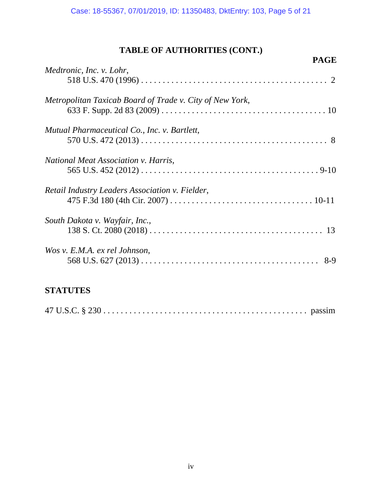# **TABLE OF AUTHORITIES (CONT.)**

| <b>PAGE</b>                                              |  |
|----------------------------------------------------------|--|
| Medtronic, Inc. v. Lohr,                                 |  |
|                                                          |  |
| Metropolitan Taxicab Board of Trade v. City of New York, |  |
|                                                          |  |
| Mutual Pharmaceutical Co., Inc. v. Bartlett,             |  |
|                                                          |  |
| <i>National Meat Association v. Harris,</i>              |  |
|                                                          |  |
| Retail Industry Leaders Association v. Fielder,          |  |
|                                                          |  |
| South Dakota v. Wayfair, Inc.,                           |  |
|                                                          |  |
| Wos v. E.M.A. ex rel Johnson,                            |  |
|                                                          |  |
|                                                          |  |

## **STATUTES**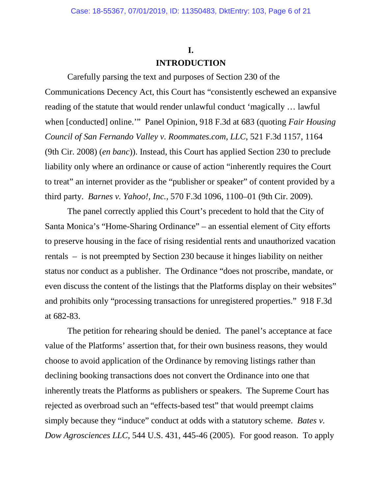# **I.**

### **INTRODUCTION**

Carefully parsing the text and purposes of Section 230 of the Communications Decency Act, this Court has "consistently eschewed an expansive reading of the statute that would render unlawful conduct 'magically … lawful when [conducted] online.'" Panel Opinion, 918 F.3d at 683 (quoting *Fair Housing Council of San Fernando Valley v. Roommates.com, LLC*, 521 F.3d 1157, 1164 (9th Cir. 2008) (*en banc*)). Instead, this Court has applied Section 230 to preclude liability only where an ordinance or cause of action "inherently requires the Court to treat" an internet provider as the "publisher or speaker" of content provided by a third party. *Barnes v. Yahoo!, Inc.*, 570 F.3d 1096, 1100–01 (9th Cir. 2009).

The panel correctly applied this Court's precedent to hold that the City of Santa Monica's "Home-Sharing Ordinance" – an essential element of City efforts to preserve housing in the face of rising residential rents and unauthorized vacation rentals – is not preempted by Section 230 because it hinges liability on neither status nor conduct as a publisher. The Ordinance "does not proscribe, mandate, or even discuss the content of the listings that the Platforms display on their websites" and prohibits only "processing transactions for unregistered properties." 918 F.3d at 682-83.

The petition for rehearing should be denied. The panel's acceptance at face value of the Platforms' assertion that, for their own business reasons, they would choose to avoid application of the Ordinance by removing listings rather than declining booking transactions does not convert the Ordinance into one that inherently treats the Platforms as publishers or speakers. The Supreme Court has rejected as overbroad such an "effects-based test" that would preempt claims simply because they "induce" conduct at odds with a statutory scheme. *Bates v. Dow Agrosciences LLC*, 544 U.S. 431, 445-46 (2005). For good reason. To apply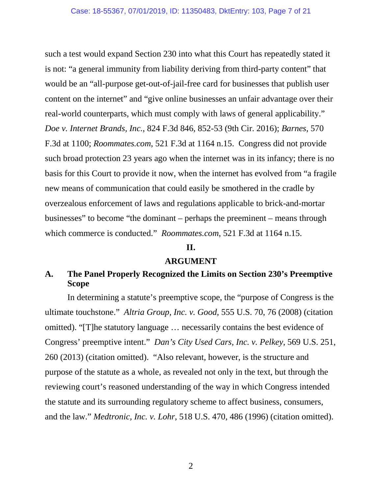such a test would expand Section 230 into what this Court has repeatedly stated it is not: "a general immunity from liability deriving from third-party content" that would be an "all-purpose get-out-of-jail-free card for businesses that publish user content on the internet" and "give online businesses an unfair advantage over their real-world counterparts, which must comply with laws of general applicability." *Doe v. Internet Brands, Inc.*, 824 F.3d 846, 852-53 (9th Cir. 2016); *Barnes*, 570 F.3d at 1100; *Roommates.com*, 521 F.3d at 1164 n.15. Congress did not provide such broad protection 23 years ago when the internet was in its infancy; there is no basis for this Court to provide it now, when the internet has evolved from "a fragile new means of communication that could easily be smothered in the cradle by overzealous enforcement of laws and regulations applicable to brick-and-mortar businesses" to become "the dominant – perhaps the preeminent – means through which commerce is conducted." *Roommates.com*, 521 F.3d at 1164 n.15.

#### **II.**

#### **ARGUMENT**

## **A. The Panel Properly Recognized the Limits on Section 230's Preemptive Scope**

In determining a statute's preemptive scope, the "purpose of Congress is the ultimate touchstone." *Altria Group, Inc. v. Good*, 555 U.S. 70, 76 (2008) (citation omitted). "[T]he statutory language … necessarily contains the best evidence of Congress' preemptive intent." *Dan's City Used Cars, Inc. v. Pelkey*, 569 U.S. 251, 260 (2013) (citation omitted). "Also relevant, however, is the structure and purpose of the statute as a whole, as revealed not only in the text, but through the reviewing court's reasoned understanding of the way in which Congress intended the statute and its surrounding regulatory scheme to affect business, consumers, and the law." *Medtronic, Inc. v. Lohr*, 518 U.S. 470, 486 (1996) (citation omitted).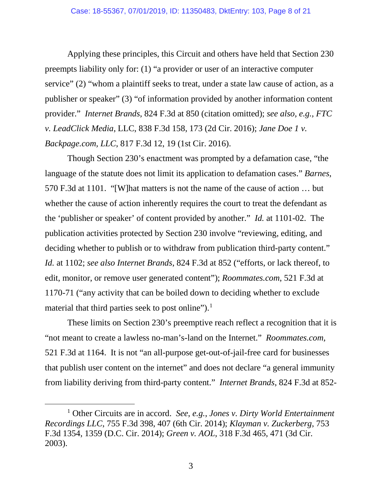Applying these principles, this Circuit and others have held that Section 230 preempts liability only for: (1) "a provider or user of an interactive computer service" (2) "whom a plaintiff seeks to treat, under a state law cause of action, as a publisher or speaker" (3) "of information provided by another information content provider." *Internet Brands*, 824 F.3d at 850 (citation omitted); *see also, e.g., FTC v. LeadClick Media*, LLC, 838 F.3d 158, 173 (2d Cir. 2016); *Jane Doe 1 v. Backpage.com, LLC*, 817 F.3d 12, 19 (1st Cir. 2016).

Though Section 230's enactment was prompted by a defamation case, "the language of the statute does not limit its application to defamation cases." *Barnes*, 570 F.3d at 1101. "[W]hat matters is not the name of the cause of action … but whether the cause of action inherently requires the court to treat the defendant as the 'publisher or speaker' of content provided by another." *Id.* at 1101-02. The publication activities protected by Section 230 involve "reviewing, editing, and deciding whether to publish or to withdraw from publication third-party content." *Id.* at 1102; *see also Internet Brands*, 824 F.3d at 852 ("efforts, or lack thereof, to edit, monitor, or remove user generated content"); *Roommates.com*, 521 F.3d at 1170-71 ("any activity that can be boiled down to deciding whether to exclude material that third parties seek to post online").<sup>[1](#page-7-0)</sup>

These limits on Section 230's preemptive reach reflect a recognition that it is "not meant to create a lawless no-man's-land on the Internet." *Roommates.com,*  521 F.3d at 1164. It is not "an all-purpose get-out-of-jail-free card for businesses that publish user content on the internet" and does not declare "a general immunity from liability deriving from third-party content." *Internet Brands*, 824 F.3d at 852-

<span id="page-7-0"></span> <sup>1</sup> Other Circuits are in accord. *See*, *e.g.*, *Jones v. Dirty World Entertainment Recordings LLC*, 755 F.3d 398, 407 (6th Cir. 2014); *Klayman v. Zuckerberg*, 753 F.3d 1354, 1359 (D.C. Cir. 2014); *Green v. AOL*, 318 F.3d 465, 471 (3d Cir. 2003).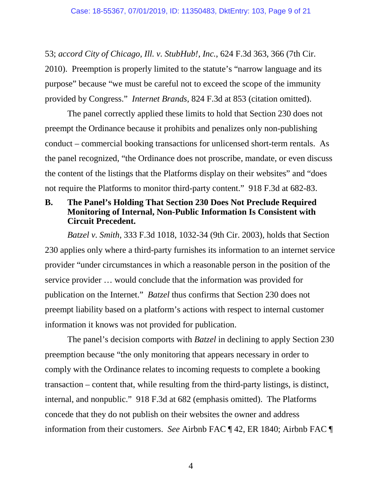53; *accord City of Chicago, Ill. v. StubHub!, Inc.*, 624 F.3d 363, 366 (7th Cir. 2010). Preemption is properly limited to the statute's "narrow language and its purpose" because "we must be careful not to exceed the scope of the immunity provided by Congress." *Internet Brands*, 824 F.3d at 853 (citation omitted).

The panel correctly applied these limits to hold that Section 230 does not preempt the Ordinance because it prohibits and penalizes only non-publishing conduct – commercial booking transactions for unlicensed short-term rentals. As the panel recognized, "the Ordinance does not proscribe, mandate, or even discuss the content of the listings that the Platforms display on their websites" and "does not require the Platforms to monitor third-party content." 918 F.3d at 682-83.

### **B. The Panel's Holding That Section 230 Does Not Preclude Required Monitoring of Internal, Non-Public Information Is Consistent with Circuit Precedent.**

*Batzel v. Smith,* 333 F.3d 1018, 1032-34 (9th Cir. 2003)*,* holds that Section 230 applies only where a third-party furnishes its information to an internet service provider "under circumstances in which a reasonable person in the position of the service provider … would conclude that the information was provided for publication on the Internet." *Batzel* thus confirms that Section 230 does not preempt liability based on a platform's actions with respect to internal customer information it knows was not provided for publication.

The panel's decision comports with *Batzel* in declining to apply Section 230 preemption because "the only monitoring that appears necessary in order to comply with the Ordinance relates to incoming requests to complete a booking transaction – content that, while resulting from the third-party listings, is distinct, internal, and nonpublic." 918 F.3d at 682 (emphasis omitted). The Platforms concede that they do not publish on their websites the owner and address information from their customers. *See* Airbnb FAC ¶ 42, ER 1840; Airbnb FAC ¶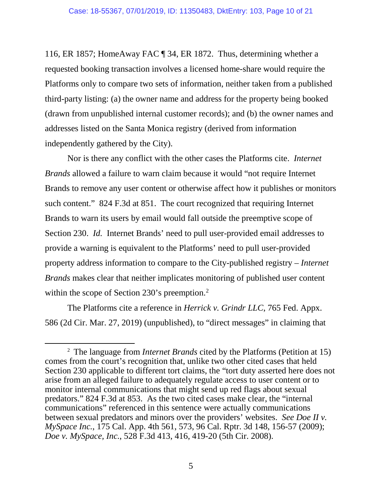116, ER 1857; HomeAway FAC ¶ 34, ER 1872. Thus, determining whether a requested booking transaction involves a licensed home-share would require the Platforms only to compare two sets of information, neither taken from a published third-party listing: (a) the owner name and address for the property being booked (drawn from unpublished internal customer records); and (b) the owner names and addresses listed on the Santa Monica registry (derived from information independently gathered by the City).

Nor is there any conflict with the other cases the Platforms cite. *Internet Brands* allowed a failure to warn claim because it would "not require Internet Brands to remove any user content or otherwise affect how it publishes or monitors such content." 824 F.3d at 851. The court recognized that requiring Internet Brands to warn its users by email would fall outside the preemptive scope of Section 230. *Id.* Internet Brands' need to pull user-provided email addresses to provide a warning is equivalent to the Platforms' need to pull user-provided property address information to compare to the City-published registry – *Internet Brands* makes clear that neither implicates monitoring of published user content within the scope of Section [2](#page-9-0)30's preemption.<sup>2</sup>

The Platforms cite a reference in *Herrick v. Grindr LLC*, 765 Fed. Appx. 586 (2d Cir. Mar. 27, 2019) (unpublished), to "direct messages" in claiming that

<span id="page-9-0"></span> <sup>2</sup> The language from *Internet Brands* cited by the Platforms (Petition at 15) comes from the court's recognition that, unlike two other cited cases that held Section 230 applicable to different tort claims, the "tort duty asserted here does not arise from an alleged failure to adequately regulate access to user content or to monitor internal communications that might send up red flags about sexual predators." 824 F.3d at 853. As the two cited cases make clear, the "internal communications" referenced in this sentence were actually communications between sexual predators and minors over the providers' websites. *See Doe II v. MySpace Inc.*, 175 Cal. App. 4th 561, 573, 96 Cal. Rptr. 3d 148, 156-57 (2009); *Doe v. MySpace, Inc.*, 528 F.3d 413, 416, 419-20 (5th Cir. 2008).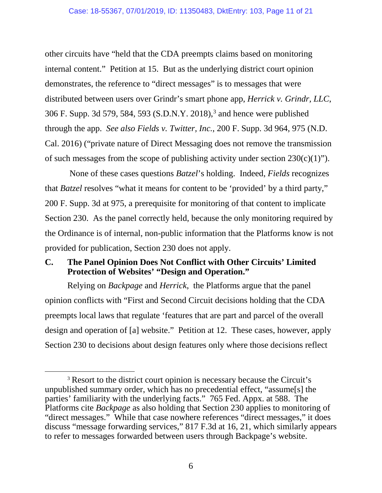other circuits have "held that the CDA preempts claims based on monitoring internal content." Petition at 15. But as the underlying district court opinion demonstrates, the reference to "direct messages" is to messages that were distributed between users over Grindr's smart phone app, *Herrick v. Grindr, LLC*, 306 F. Supp. 3d 579, 584, 593 (S.D.N.Y. 2018), [3](#page-10-0) and hence were published through the app. *See also Fields v. Twitter, Inc.*, 200 F. Supp. 3d 964, 975 (N.D. Cal. 2016) ("private nature of Direct Messaging does not remove the transmission of such messages from the scope of publishing activity under section  $230(c)(1)$ ").

None of these cases questions *Batzel*'s holding. Indeed, *Fields* recognizes that *Batzel* resolves "what it means for content to be 'provided' by a third party," 200 F. Supp. 3d at 975, a prerequisite for monitoring of that content to implicate Section 230. As the panel correctly held, because the only monitoring required by the Ordinance is of internal, non-public information that the Platforms know is not provided for publication, Section 230 does not apply.

## **C. The Panel Opinion Does Not Conflict with Other Circuits' Limited Protection of Websites' "Design and Operation."**

Relying on *Backpage* and *Herrick*, the Platforms argue that the panel opinion conflicts with "First and Second Circuit decisions holding that the CDA preempts local laws that regulate 'features that are part and parcel of the overall design and operation of [a] website." Petition at 12. These cases, however, apply Section 230 to decisions about design features only where those decisions reflect

<span id="page-10-0"></span><sup>&</sup>lt;sup>3</sup> Resort to the district court opinion is necessary because the Circuit's unpublished summary order, which has no precedential effect, "assume[s] the parties' familiarity with the underlying facts." 765 Fed. Appx. at 588. The Platforms cite *Backpage* as also holding that Section 230 applies to monitoring of "direct messages." While that case nowhere references "direct messages," it does discuss "message forwarding services," 817 F.3d at 16, 21, which similarly appears to refer to messages forwarded between users through Backpage's website.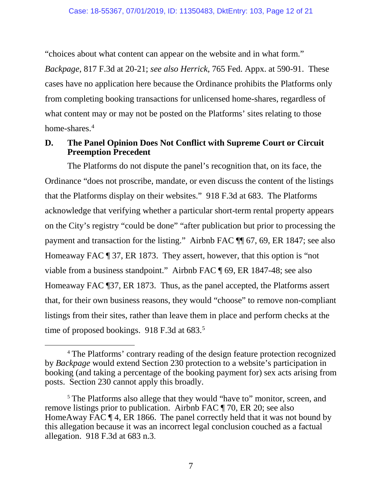"choices about what content can appear on the website and in what form." *Backpage*, 817 F.3d at 20-21; *see also Herrick*, 765 Fed. Appx. at 590-91. These cases have no application here because the Ordinance prohibits the Platforms only from completing booking transactions for unlicensed home-shares, regardless of what content may or may not be posted on the Platforms' sites relating to those home-shares.<sup>[4](#page-11-0)</sup>

## **D. The Panel Opinion Does Not Conflict with Supreme Court or Circuit Preemption Precedent**

The Platforms do not dispute the panel's recognition that, on its face, the Ordinance "does not proscribe, mandate, or even discuss the content of the listings that the Platforms display on their websites." 918 F.3d at 683. The Platforms acknowledge that verifying whether a particular short-term rental property appears on the City's registry "could be done" "after publication but prior to processing the payment and transaction for the listing." Airbnb FAC ¶¶ 67, 69, ER 1847; see also Homeaway FAC ¶ 37, ER 1873. They assert, however, that this option is "not viable from a business standpoint." Airbnb FAC ¶ 69, ER 1847-48; see also Homeaway FAC ¶37, ER 1873. Thus, as the panel accepted, the Platforms assert that, for their own business reasons, they would "choose" to remove non-compliant listings from their sites, rather than leave them in place and perform checks at the time of proposed bookings. 918 F.3d at 683.<sup>[5](#page-11-1)</sup>

<span id="page-11-0"></span> <sup>4</sup> The Platforms' contrary reading of the design feature protection recognized by *Backpage* would extend Section 230 protection to a website's participation in booking (and taking a percentage of the booking payment for) sex acts arising from posts. Section 230 cannot apply this broadly.

<span id="page-11-1"></span><sup>&</sup>lt;sup>5</sup> The Platforms also allege that they would "have to" monitor, screen, and remove listings prior to publication. Airbnb FAC ¶ 70, ER 20; see also HomeAway FAC  $\P$  4, ER 1866. The panel correctly held that it was not bound by this allegation because it was an incorrect legal conclusion couched as a factual allegation. 918 F.3d at 683 n.3.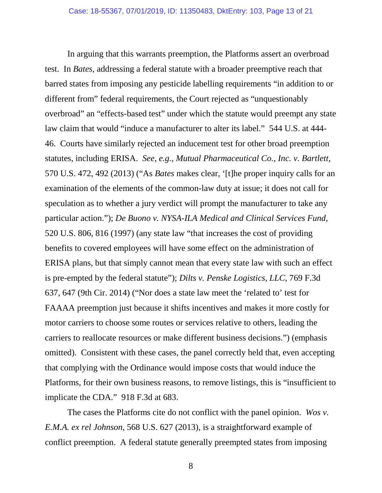In arguing that this warrants preemption, the Platforms assert an overbroad test. In *Bates*, addressing a federal statute with a broader preemptive reach that barred states from imposing any pesticide labelling requirements "in addition to or different from" federal requirements, the Court rejected as "unquestionably overbroad" an "effects-based test" under which the statute would preempt any state law claim that would "induce a manufacturer to alter its label." 544 U.S. at 444- 46. Courts have similarly rejected an inducement test for other broad preemption statutes, including ERISA. *See, e.g., Mutual Pharmaceutical Co., Inc. v. Bartlett,*  570 U.S. 472, 492 (2013) ("As *Bates* makes clear, '[t]he proper inquiry calls for an examination of the elements of the common-law duty at issue; it does not call for speculation as to whether a jury verdict will prompt the manufacturer to take any particular action."); *De Buono v. NYSA-ILA Medical and Clinical Services Fund*, 520 U.S. 806, 816 (1997) (any state law "that increases the cost of providing benefits to covered employees will have some effect on the administration of ERISA plans, but that simply cannot mean that every state law with such an effect is pre-empted by the federal statute"); *Dilts v. Penske Logistics, LLC*, 769 F.3d 637, 647 (9th Cir. 2014) ("Nor does a state law meet the 'related to' test for FAAAA preemption just because it shifts incentives and makes it more costly for motor carriers to choose some routes or services relative to others, leading the carriers to reallocate resources or make different business decisions.") (emphasis omitted). Consistent with these cases, the panel correctly held that, even accepting that complying with the Ordinance would impose costs that would induce the Platforms, for their own business reasons, to remove listings, this is "insufficient to implicate the CDA." 918 F.3d at 683.

The cases the Platforms cite do not conflict with the panel opinion. *Wos v. E.M.A. ex rel Johnson*, 568 U.S. 627 (2013), is a straightforward example of conflict preemption. A federal statute generally preempted states from imposing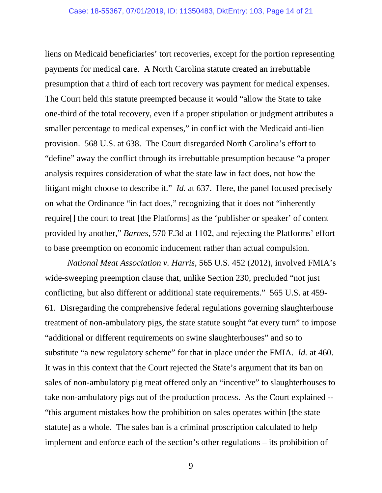liens on Medicaid beneficiaries' tort recoveries, except for the portion representing payments for medical care. A North Carolina statute created an irrebuttable presumption that a third of each tort recovery was payment for medical expenses. The Court held this statute preempted because it would "allow the State to take one-third of the total recovery, even if a proper stipulation or judgment attributes a smaller percentage to medical expenses," in conflict with the Medicaid anti-lien provision. 568 U.S. at 638. The Court disregarded North Carolina's effort to "define" away the conflict through its irrebuttable presumption because "a proper analysis requires consideration of what the state law in fact does, not how the litigant might choose to describe it." *Id.* at 637. Here, the panel focused precisely on what the Ordinance "in fact does," recognizing that it does not "inherently require[] the court to treat [the Platforms] as the 'publisher or speaker' of content provided by another," *Barnes*, 570 F.3d at 1102, and rejecting the Platforms' effort to base preemption on economic inducement rather than actual compulsion.

*National Meat Association v. Harris*, 565 U.S. 452 (2012), involved FMIA's wide-sweeping preemption clause that, unlike Section 230, precluded "not just conflicting, but also different or additional state requirements." 565 U.S. at 459- 61. Disregarding the comprehensive federal regulations governing slaughterhouse treatment of non-ambulatory pigs, the state statute sought "at every turn" to impose "additional or different requirements on swine slaughterhouses" and so to substitute "a new regulatory scheme" for that in place under the FMIA. *Id.* at 460. It was in this context that the Court rejected the State's argument that its ban on sales of non-ambulatory pig meat offered only an "incentive" to slaughterhouses to take non-ambulatory pigs out of the production process. As the Court explained -- "this argument mistakes how the prohibition on sales operates within [the state statute] as a whole. The sales ban is a criminal proscription calculated to help implement and enforce each of the section's other regulations – its prohibition of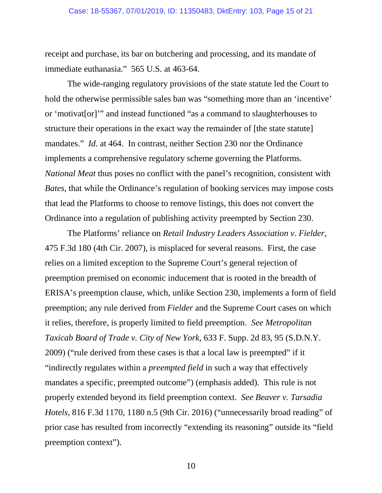receipt and purchase, its bar on butchering and processing, and its mandate of immediate euthanasia." 565 U.S. at 463-64.

The wide-ranging regulatory provisions of the state statute led the Court to hold the otherwise permissible sales ban was "something more than an 'incentive' or 'motivat[or]'" and instead functioned "as a command to slaughterhouses to structure their operations in the exact way the remainder of [the state statute] mandates." *Id.* at 464. In contrast, neither Section 230 nor the Ordinance implements a comprehensive regulatory scheme governing the Platforms. *National Meat* thus poses no conflict with the panel's recognition, consistent with *Bates*, that while the Ordinance's regulation of booking services may impose costs that lead the Platforms to choose to remove listings, this does not convert the Ordinance into a regulation of publishing activity preempted by Section 230.

The Platforms' reliance on *Retail Industry Leaders Association v. Fielder*, 475 F.3d 180 (4th Cir. 2007), is misplaced for several reasons. First, the case relies on a limited exception to the Supreme Court's general rejection of preemption premised on economic inducement that is rooted in the breadth of ERISA's preemption clause, which, unlike Section 230, implements a form of field preemption; any rule derived from *Fielder* and the Supreme Court cases on which it relies, therefore, is properly limited to field preemption. *See Metropolitan Taxicab Board of Trade v. City of New York*, 633 F. Supp. 2d 83, 95 (S.D.N.Y. 2009) ("rule derived from these cases is that a local law is preempted" if it "indirectly regulates within a *preempted field* in such a way that effectively mandates a specific, preempted outcome") (emphasis added). This rule is not properly extended beyond its field preemption context. *See Beaver v. Tarsadia Hotels*, 816 F.3d 1170, 1180 n.5 (9th Cir. 2016) ("unnecessarily broad reading" of prior case has resulted from incorrectly "extending its reasoning" outside its "field preemption context").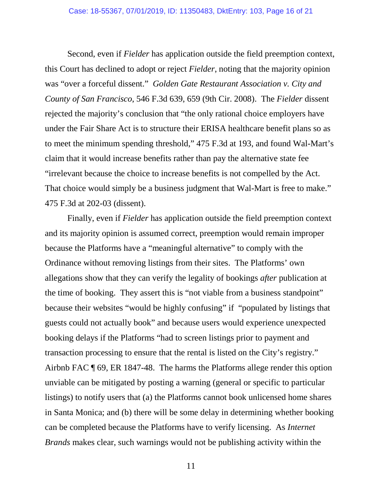Second, even if *Fielder* has application outside the field preemption context, this Court has declined to adopt or reject *Fielder*, noting that the majority opinion was "over a forceful dissent." *Golden Gate Restaurant Association v. City and County of San Francisco*, 546 F.3d 639, 659 (9th Cir. 2008). The *Fielder* dissent rejected the majority's conclusion that "the only rational choice employers have under the Fair Share Act is to structure their ERISA healthcare benefit plans so as to meet the minimum spending threshold," 475 F.3d at 193, and found Wal-Mart's claim that it would increase benefits rather than pay the alternative state fee "irrelevant because the choice to increase benefits is not compelled by the Act. That choice would simply be a business judgment that Wal-Mart is free to make." 475 F.3d at 202-03 (dissent).

Finally, even if *Fielder* has application outside the field preemption context and its majority opinion is assumed correct, preemption would remain improper because the Platforms have a "meaningful alternative" to comply with the Ordinance without removing listings from their sites. The Platforms' own allegations show that they can verify the legality of bookings *after* publication at the time of booking. They assert this is "not viable from a business standpoint" because their websites "would be highly confusing" if "populated by listings that guests could not actually book" and because users would experience unexpected booking delays if the Platforms "had to screen listings prior to payment and transaction processing to ensure that the rental is listed on the City's registry." Airbnb FAC ¶ 69, ER 1847-48. The harms the Platforms allege render this option unviable can be mitigated by posting a warning (general or specific to particular listings) to notify users that (a) the Platforms cannot book unlicensed home shares in Santa Monica; and (b) there will be some delay in determining whether booking can be completed because the Platforms have to verify licensing. As *Internet Brands* makes clear, such warnings would not be publishing activity within the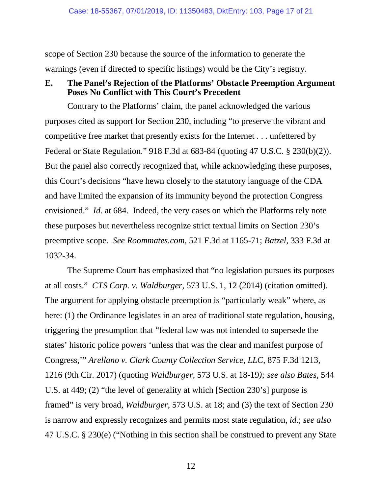scope of Section 230 because the source of the information to generate the warnings (even if directed to specific listings) would be the City's registry.

### **E. The Panel's Rejection of the Platforms' Obstacle Preemption Argument Poses No Conflict with This Court's Precedent**

Contrary to the Platforms' claim, the panel acknowledged the various purposes cited as support for Section 230, including "to preserve the vibrant and competitive free market that presently exists for the Internet . . . unfettered by Federal or State Regulation." 918 F.3d at 683-84 (quoting 47 U.S.C. § 230(b)(2)). But the panel also correctly recognized that, while acknowledging these purposes, this Court's decisions "have hewn closely to the statutory language of the CDA and have limited the expansion of its immunity beyond the protection Congress envisioned." *Id.* at 684. Indeed, the very cases on which the Platforms rely note these purposes but nevertheless recognize strict textual limits on Section 230's preemptive scope. *See Roommates.com*, 521 F.3d at 1165-71; *Batzel*, 333 F.3d at 1032-34.

The Supreme Court has emphasized that "no legislation pursues its purposes at all costs." *CTS Corp. v. Waldburger*, 573 U.S. 1, 12 (2014) (citation omitted). The argument for applying obstacle preemption is "particularly weak" where, as here: (1) the Ordinance legislates in an area of traditional state regulation, housing, triggering the presumption that "federal law was not intended to supersede the states' historic police powers 'unless that was the clear and manifest purpose of Congress,'" *Arellano v. Clark County Collection Service, LLC*, 875 F.3d 1213, 1216 (9th Cir. 2017) (quoting *Waldburger*, 573 U.S. at 18-19*); see also Bates,* 544 U.S. at 449; (2) "the level of generality at which [Section 230's] purpose is framed" is very broad, *Waldburger*, 573 U.S. at 18; and (3) the text of Section 230 is narrow and expressly recognizes and permits most state regulation, *id.*; *see also* 47 U.S.C. § 230(e) ("Nothing in this section shall be construed to prevent any State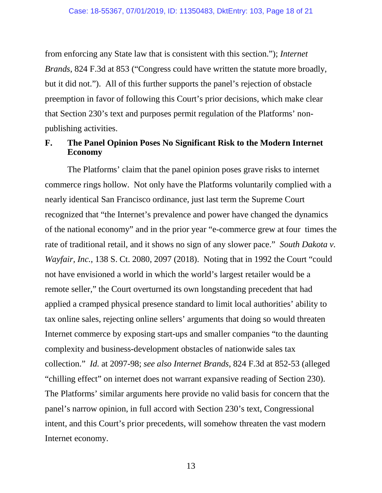from enforcing any State law that is consistent with this section."); *Internet Brands*, 824 F.3d at 853 ("Congress could have written the statute more broadly, but it did not."). All of this further supports the panel's rejection of obstacle preemption in favor of following this Court's prior decisions, which make clear that Section 230's text and purposes permit regulation of the Platforms' nonpublishing activities.

#### **F. The Panel Opinion Poses No Significant Risk to the Modern Internet Economy**

The Platforms' claim that the panel opinion poses grave risks to internet commerce rings hollow. Not only have the Platforms voluntarily complied with a nearly identical San Francisco ordinance, just last term the Supreme Court recognized that "the Internet's prevalence and power have changed the dynamics of the national economy" and in the prior year "e-commerce grew at four times the rate of traditional retail, and it shows no sign of any slower pace." *South Dakota v. Wayfair, Inc.*, 138 S. Ct. 2080, 2097 (2018). Noting that in 1992 the Court "could not have envisioned a world in which the world's largest retailer would be a remote seller," the Court overturned its own longstanding precedent that had applied a cramped physical presence standard to limit local authorities' ability to tax online sales, rejecting online sellers' arguments that doing so would threaten Internet commerce by exposing start-ups and smaller companies "to the daunting complexity and business-development obstacles of nationwide sales tax collection." *Id.* at 2097-98; *see also Internet Brands*, 824 F.3d at 852-53 (alleged "chilling effect" on internet does not warrant expansive reading of Section 230). The Platforms' similar arguments here provide no valid basis for concern that the panel's narrow opinion, in full accord with Section 230's text, Congressional intent, and this Court's prior precedents, will somehow threaten the vast modern Internet economy.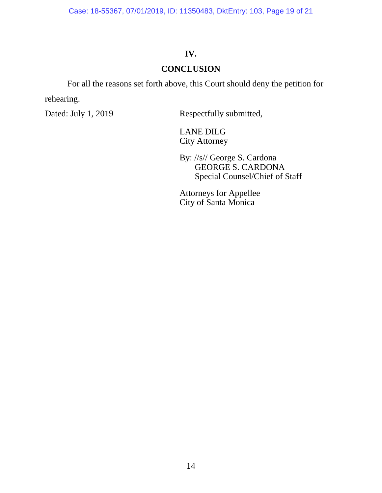Case: 18-55367, 07/01/2019, ID: 11350483, DktEntry: 103, Page 19 of 21

## **IV.**

### **CONCLUSION**

For all the reasons set forth above, this Court should deny the petition for rehearing.

Dated: July 1, 2019 Respectfully submitted,

LANE DILG City Attorney

By: //s// George S. Cardona GEORGE S. CARDONA Special Counsel/Chief of Staff

Attorneys for Appellee City of Santa Monica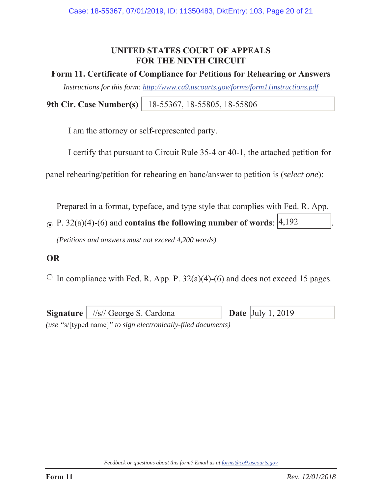## **UNITED STATES COURT OF APPEALS FOR THE NINTH CIRCUIT**

### **Form 11. Certificate of Compliance for Petitions for Rehearing or Answers**

*Instructions for this form: http://www.ca9.uscourts.gov/forms/form11instructions.pdf*

**9th Cir. Case Number(s)** 18-55367, 18-55805, 18-55806

I am the attorney or self-represented party.

I certify that pursuant to Circuit Rule 35-4 or 40-1, the attached petition for

panel rehearing/petition for rehearing en banc/answer to petition is (*select one*):

Prepared in a format, typeface, and type style that complies with Fed. R. App.

P.  $32(a)(4)-(6)$  and **contains the following number of words**:  $\begin{vmatrix} 4 & 192 \\ 4 & 192 \end{vmatrix}$ .

*(Petitions and answers must not exceed 4,200 words)* 

## **OR**

 $\circ$  In compliance with Fed. R. App. P. 32(a)(4)-(6) and does not exceed 15 pages.

|                                                               | <b>Signature</b> $\frac{ }{ s }$ George S. Cardona |  | <b>Date</b> $\vert$ July 1, 2019 |  |  |  |  |
|---------------------------------------------------------------|----------------------------------------------------|--|----------------------------------|--|--|--|--|
| (use "s/[typed name]" to sign electronically-filed documents) |                                                    |  |                                  |  |  |  |  |